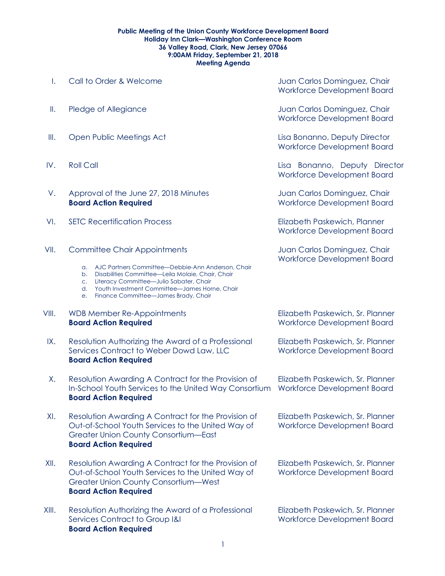## **Public Meeting of the Union County Workforce Development Board Holiday Inn Clark—Washington Conference Room 36 Valley Road, Clark, New Jersey 07066 9:00AM Friday, September 21, 2018 Meeting Agenda**

| Ι.    | Call to Order & Welcome                                                                                                                                                                                                                                                                                      | Juan Carlos Dominguez, Chair<br>Workforce Development Board            |
|-------|--------------------------------------------------------------------------------------------------------------------------------------------------------------------------------------------------------------------------------------------------------------------------------------------------------------|------------------------------------------------------------------------|
| Ш.    | Pledge of Allegiance                                                                                                                                                                                                                                                                                         | Juan Carlos Dominguez, Chair<br>Workforce Development Board            |
| III.  | Open Public Meetings Act                                                                                                                                                                                                                                                                                     | Lisa Bonanno, Deputy Director<br><b>Workforce Development Board</b>    |
| IV.   | <b>Roll Call</b>                                                                                                                                                                                                                                                                                             | Lisa Bonanno, Deputy Director<br>Workforce Development Board           |
| V.    | Approval of the June 27, 2018 Minutes<br><b>Board Action Required</b>                                                                                                                                                                                                                                        | Juan Carlos Dominguez, Chair<br>Workforce Development Board            |
| VI.   | <b>SETC Recertification Process</b>                                                                                                                                                                                                                                                                          | Elizabeth Paskewich, Planner<br>Workforce Development Board            |
| VII.  | <b>Committee Chair Appointments</b><br>a. AJC Partners Committee-Debbie-Ann Anderson, Chair<br>Disabilities Committee-Leila Molaie, Chair, Chair<br>b.<br>Literacy Committee-Julio Sabater, Chair<br>C.<br>Youth Investment Committee-James Horne, Chair<br>d.<br>Finance Committee-James Brady, Chair<br>e. | Juan Carlos Dominguez, Chair<br><b>Workforce Development Board</b>     |
| VIII. | WDB Member Re-Appointments<br><b>Board Action Required</b>                                                                                                                                                                                                                                                   | Elizabeth Paskewich, Sr. Planner<br>Workforce Development Board        |
| IX.   | Resolution Authorizing the Award of a Professional<br>Services Contract to Weber Dowd Law, LLC<br><b>Board Action Required</b>                                                                                                                                                                               | Elizabeth Paskewich, Sr. Planner<br>Workforce Development Board        |
| Χ.    | Resolution Awarding A Contract for the Provision of<br>In-School Youth Services to the United Way Consortium<br><b>Board Action Required</b>                                                                                                                                                                 | Elizabeth Paskewich, Sr. Planner<br>Workforce Development Board        |
| XI.   | Resolution Awarding A Contract for the Provision of<br>Out-of-School Youth Services to the United Way of<br><b>Greater Union County Consortium-East</b><br><b>Board Action Required</b>                                                                                                                      | Elizabeth Paskewich, Sr. Planner<br><b>Workforce Development Board</b> |
| XII.  | Resolution Awarding A Contract for the Provision of<br>Out-of-School Youth Services to the United Way of<br>Greater Union County Consortium-West<br><b>Board Action Required</b>                                                                                                                             | Elizabeth Paskewich, Sr. Planner<br>Workforce Development Board        |
| XIII. | Resolution Authorizing the Award of a Professional<br>Services Contract to Group I&I<br><b>Board Action Required</b>                                                                                                                                                                                         | Elizabeth Paskewich, Sr. Planner<br>Workforce Development Board        |